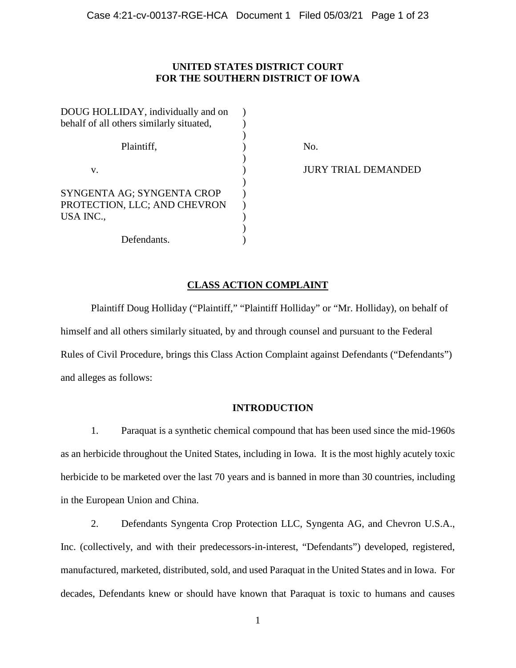# **UNITED STATES DISTRICT COURT FOR THE SOUTHERN DISTRICT OF IOWA**

| DOUG HOLLIDAY, individually and on       |     |
|------------------------------------------|-----|
| behalf of all others similarly situated, |     |
|                                          |     |
| Plaintiff,                               | No. |
|                                          |     |
| v.                                       |     |
|                                          |     |
| SYNGENTA AG; SYNGENTA CROP               |     |
| PROTECTION, LLC; AND CHEVRON             |     |
| USA INC.,                                |     |
|                                          |     |
| Defendants.                              |     |

**JURY TRIAL DEMANDED** 

# **CLASS ACTION COMPLAINT**

Plaintiff Doug Holliday ("Plaintiff," "Plaintiff Holliday" or "Mr. Holliday), on behalf of himself and all others similarly situated, by and through counsel and pursuant to the Federal Rules of Civil Procedure, brings this Class Action Complaint against Defendants ("Defendants") and alleges as follows:

# **INTRODUCTION**

1. Paraquat is a synthetic chemical compound that has been used since the mid-1960s as an herbicide throughout the United States, including in Iowa. It is the most highly acutely toxic herbicide to be marketed over the last 70 years and is banned in more than 30 countries, including in the European Union and China.

2. Defendants Syngenta Crop Protection LLC, Syngenta AG, and Chevron U.S.A., Inc. (collectively, and with their predecessors-in-interest, "Defendants") developed, registered, manufactured, marketed, distributed, sold, and used Paraquat in the United States and in Iowa. For decades, Defendants knew or should have known that Paraquat is toxic to humans and causes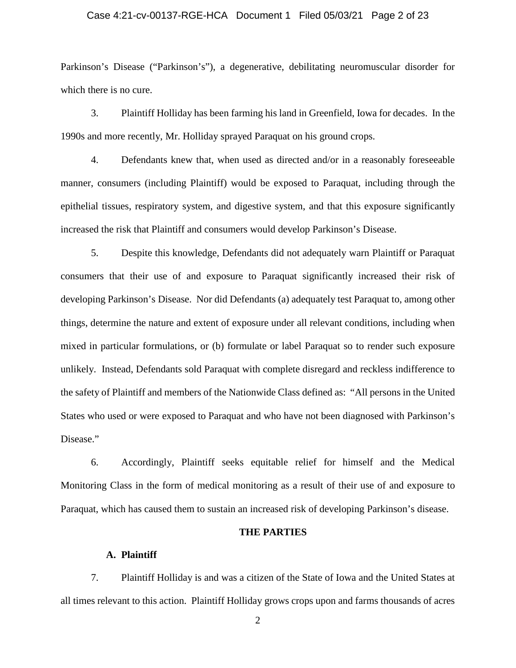# Case 4:21-cv-00137-RGE-HCA Document 1 Filed 05/03/21 Page 2 of 23

Parkinson's Disease ("Parkinson's"), a degenerative, debilitating neuromuscular disorder for which there is no cure.

3. Plaintiff Holliday has been farming his land in Greenfield, Iowa for decades. In the 1990s and more recently, Mr. Holliday sprayed Paraquat on his ground crops.

4. Defendants knew that, when used as directed and/or in a reasonably foreseeable manner, consumers (including Plaintiff) would be exposed to Paraquat, including through the epithelial tissues, respiratory system, and digestive system, and that this exposure significantly increased the risk that Plaintiff and consumers would develop Parkinson's Disease.

5. Despite this knowledge, Defendants did not adequately warn Plaintiff or Paraquat consumers that their use of and exposure to Paraquat significantly increased their risk of developing Parkinson's Disease. Nor did Defendants (a) adequately test Paraquat to, among other things, determine the nature and extent of exposure under all relevant conditions, including when mixed in particular formulations, or (b) formulate or label Paraquat so to render such exposure unlikely. Instead, Defendants sold Paraquat with complete disregard and reckless indifference to the safety of Plaintiff and members of the Nationwide Class defined as: "All persons in the United States who used or were exposed to Paraquat and who have not been diagnosed with Parkinson's Disease."

6. Accordingly, Plaintiff seeks equitable relief for himself and the Medical Monitoring Class in the form of medical monitoring as a result of their use of and exposure to Paraquat, which has caused them to sustain an increased risk of developing Parkinson's disease.

### **THE PARTIES**

### **A. Plaintiff**

7. Plaintiff Holliday is and was a citizen of the State of Iowa and the United States at all times relevant to this action. Plaintiff Holliday grows crops upon and farms thousands of acres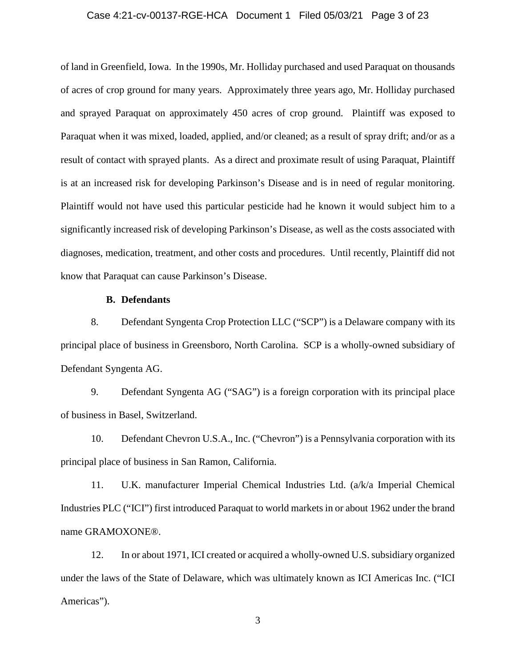# Case 4:21-cv-00137-RGE-HCA Document 1 Filed 05/03/21 Page 3 of 23

of land in Greenfield, Iowa. In the 1990s, Mr. Holliday purchased and used Paraquat on thousands of acres of crop ground for many years. Approximately three years ago, Mr. Holliday purchased and sprayed Paraquat on approximately 450 acres of crop ground. Plaintiff was exposed to Paraquat when it was mixed, loaded, applied, and/or cleaned; as a result of spray drift; and/or as a result of contact with sprayed plants. As a direct and proximate result of using Paraquat, Plaintiff is at an increased risk for developing Parkinson's Disease and is in need of regular monitoring. Plaintiff would not have used this particular pesticide had he known it would subject him to a significantly increased risk of developing Parkinson's Disease, as well as the costs associated with diagnoses, medication, treatment, and other costs and procedures. Until recently, Plaintiff did not know that Paraquat can cause Parkinson's Disease.

# **B. Defendants**

8. Defendant Syngenta Crop Protection LLC ("SCP") is a Delaware company with its principal place of business in Greensboro, North Carolina. SCP is a wholly-owned subsidiary of Defendant Syngenta AG.

9. Defendant Syngenta AG ("SAG") is a foreign corporation with its principal place of business in Basel, Switzerland.

10. Defendant Chevron U.S.A., Inc. ("Chevron") is a Pennsylvania corporation with its principal place of business in San Ramon, California.

11. U.K. manufacturer Imperial Chemical Industries Ltd. (a/k/a Imperial Chemical Industries PLC ("ICI") first introduced Paraquat to world markets in or about 1962 under the brand name GRAMOXONE®.

12. In or about 1971, ICI created or acquired a wholly-owned U.S. subsidiary organized under the laws of the State of Delaware, which was ultimately known as ICI Americas Inc. ("ICI Americas").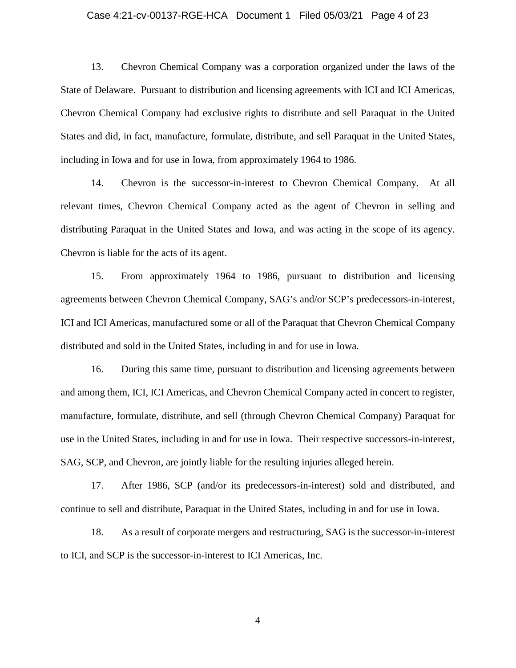### Case 4:21-cv-00137-RGE-HCA Document 1 Filed 05/03/21 Page 4 of 23

13. Chevron Chemical Company was a corporation organized under the laws of the State of Delaware. Pursuant to distribution and licensing agreements with ICI and ICI Americas, Chevron Chemical Company had exclusive rights to distribute and sell Paraquat in the United States and did, in fact, manufacture, formulate, distribute, and sell Paraquat in the United States, including in Iowa and for use in Iowa, from approximately 1964 to 1986.

14. Chevron is the successor-in-interest to Chevron Chemical Company. At all relevant times, Chevron Chemical Company acted as the agent of Chevron in selling and distributing Paraquat in the United States and Iowa, and was acting in the scope of its agency. Chevron is liable for the acts of its agent.

15. From approximately 1964 to 1986, pursuant to distribution and licensing agreements between Chevron Chemical Company, SAG's and/or SCP's predecessors-in-interest, ICI and ICI Americas, manufactured some or all of the Paraquat that Chevron Chemical Company distributed and sold in the United States, including in and for use in Iowa.

16. During this same time, pursuant to distribution and licensing agreements between and among them, ICI, ICI Americas, and Chevron Chemical Company acted in concert to register, manufacture, formulate, distribute, and sell (through Chevron Chemical Company) Paraquat for use in the United States, including in and for use in Iowa. Their respective successors-in-interest, SAG, SCP, and Chevron, are jointly liable for the resulting injuries alleged herein.

17. After 1986, SCP (and/or its predecessors-in-interest) sold and distributed, and continue to sell and distribute, Paraquat in the United States, including in and for use in Iowa.

18. As a result of corporate mergers and restructuring, SAG is the successor-in-interest to ICI, and SCP is the successor-in-interest to ICI Americas, Inc.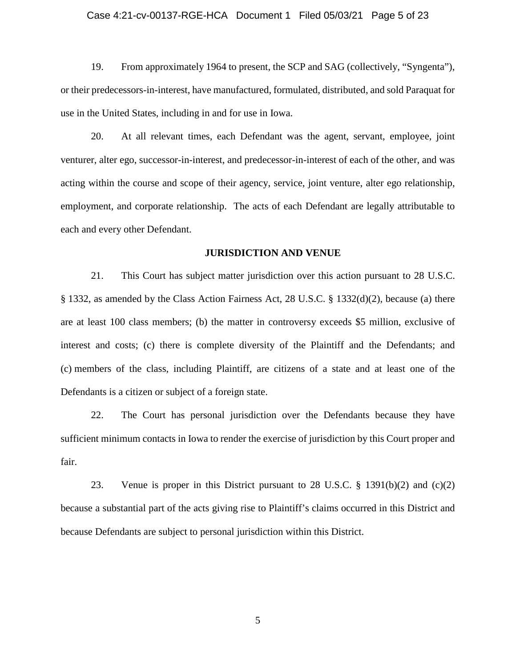### Case 4:21-cv-00137-RGE-HCA Document 1 Filed 05/03/21 Page 5 of 23

19. From approximately 1964 to present, the SCP and SAG (collectively, "Syngenta"), or their predecessors-in-interest, have manufactured, formulated, distributed, and sold Paraquat for use in the United States, including in and for use in Iowa.

20. At all relevant times, each Defendant was the agent, servant, employee, joint venturer, alter ego, successor-in-interest, and predecessor-in-interest of each of the other, and was acting within the course and scope of their agency, service, joint venture, alter ego relationship, employment, and corporate relationship. The acts of each Defendant are legally attributable to each and every other Defendant.

### **JURISDICTION AND VENUE**

21. This Court has subject matter jurisdiction over this action pursuant to 28 U.S.C. § 1332, as amended by the Class Action Fairness Act, 28 U.S.C. § 1332(d)(2), because (a) there are at least 100 class members; (b) the matter in controversy exceeds \$5 million, exclusive of interest and costs; (c) there is complete diversity of the Plaintiff and the Defendants; and (c) members of the class, including Plaintiff, are citizens of a state and at least one of the Defendants is a citizen or subject of a foreign state.

22. The Court has personal jurisdiction over the Defendants because they have sufficient minimum contacts in Iowa to render the exercise of jurisdiction by this Court proper and fair.

23. Venue is proper in this District pursuant to 28 U.S.C. § 1391(b)(2) and (c)(2) because a substantial part of the acts giving rise to Plaintiff's claims occurred in this District and because Defendants are subject to personal jurisdiction within this District.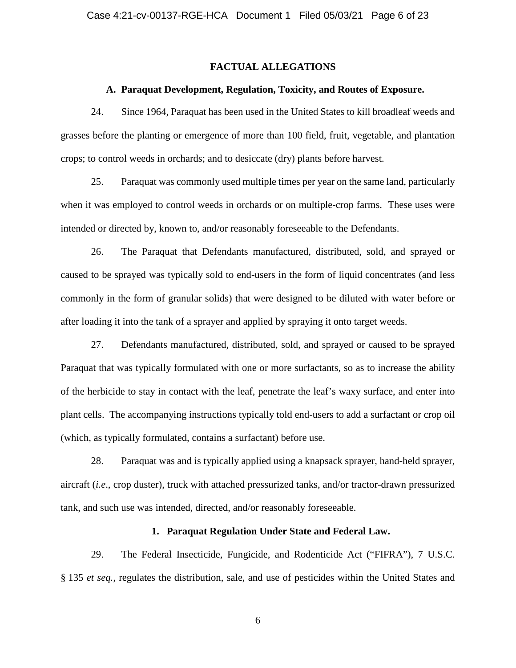# **FACTUAL ALLEGATIONS**

## **A. Paraquat Development, Regulation, Toxicity, and Routes of Exposure.**

24. Since 1964, Paraquat has been used in the United States to kill broadleaf weeds and grasses before the planting or emergence of more than 100 field, fruit, vegetable, and plantation crops; to control weeds in orchards; and to desiccate (dry) plants before harvest.

25. Paraquat was commonly used multiple times per year on the same land, particularly when it was employed to control weeds in orchards or on multiple-crop farms. These uses were intended or directed by, known to, and/or reasonably foreseeable to the Defendants.

26. The Paraquat that Defendants manufactured, distributed, sold, and sprayed or caused to be sprayed was typically sold to end-users in the form of liquid concentrates (and less commonly in the form of granular solids) that were designed to be diluted with water before or after loading it into the tank of a sprayer and applied by spraying it onto target weeds.

27. Defendants manufactured, distributed, sold, and sprayed or caused to be sprayed Paraquat that was typically formulated with one or more surfactants, so as to increase the ability of the herbicide to stay in contact with the leaf, penetrate the leaf's waxy surface, and enter into plant cells. The accompanying instructions typically told end-users to add a surfactant or crop oil (which, as typically formulated, contains a surfactant) before use.

28. Paraquat was and is typically applied using a knapsack sprayer, hand-held sprayer, aircraft (*i.e*., crop duster), truck with attached pressurized tanks, and/or tractor-drawn pressurized tank, and such use was intended, directed, and/or reasonably foreseeable.

# **1. Paraquat Regulation Under State and Federal Law.**

29. The Federal Insecticide, Fungicide, and Rodenticide Act ("FIFRA"), 7 U.S.C. § 135 *et seq.,* regulates the distribution, sale, and use of pesticides within the United States and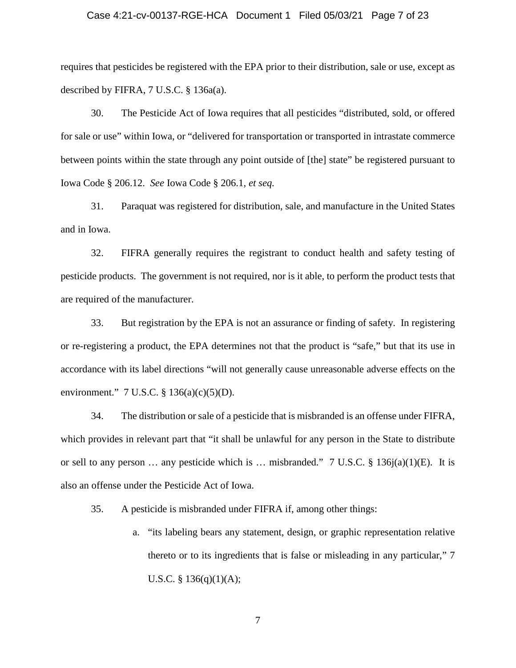### Case 4:21-cv-00137-RGE-HCA Document 1 Filed 05/03/21 Page 7 of 23

requires that pesticides be registered with the EPA prior to their distribution, sale or use, except as described by FIFRA, 7 U.S.C. § 136a(a).

30. The Pesticide Act of Iowa requires that all pesticides "distributed, sold, or offered for sale or use" within Iowa, or "delivered for transportation or transported in intrastate commerce between points within the state through any point outside of [the] state" be registered pursuant to Iowa Code § 206.12. *See* Iowa Code § 206.1, *et seq.*

31. Paraquat was registered for distribution, sale, and manufacture in the United States and in Iowa.

32. FIFRA generally requires the registrant to conduct health and safety testing of pesticide products. The government is not required, nor is it able, to perform the product tests that are required of the manufacturer.

33. But registration by the EPA is not an assurance or finding of safety. In registering or re-registering a product, the EPA determines not that the product is "safe," but that its use in accordance with its label directions "will not generally cause unreasonable adverse effects on the environment."  $7 \text{ U.S.C. } § 136(a)(c)(5)(D)$ .

34. The distribution or sale of a pesticide that is misbranded is an offense under FIFRA, which provides in relevant part that "it shall be unlawful for any person in the State to distribute or sell to any person ... any pesticide which is ... misbranded."  $7 \text{ U.S.C.} \text{ § } 136j(a)(1)(E)$ . It is also an offense under the Pesticide Act of Iowa.

35. A pesticide is misbranded under FIFRA if, among other things:

a. "its labeling bears any statement, design, or graphic representation relative thereto or to its ingredients that is false or misleading in any particular," 7 U.S.C. §  $136(q)(1)(A);$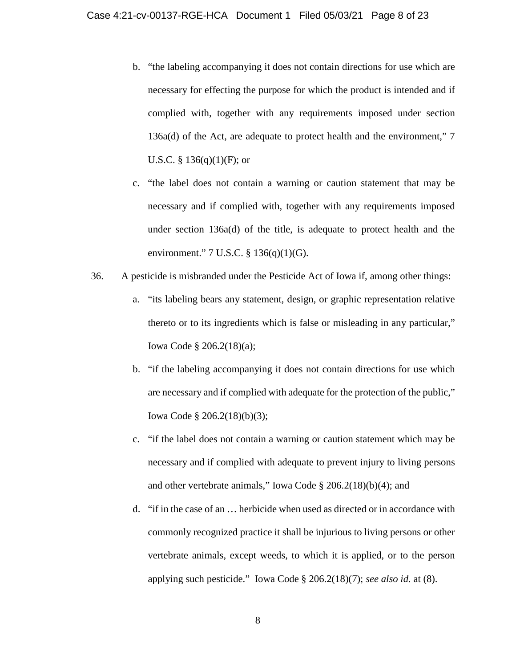- b. "the labeling accompanying it does not contain directions for use which are necessary for effecting the purpose for which the product is intended and if complied with, together with any requirements imposed under section 136a(d) of the Act, are adequate to protect health and the environment," 7 U.S.C. §  $136(q)(1)(F)$ ; or
- c. "the label does not contain a warning or caution statement that may be necessary and if complied with, together with any requirements imposed under section 136a(d) of the title, is adequate to protect health and the environment." 7 U.S.C. § 136(q)(1)(G).
- 36. A pesticide is misbranded under the Pesticide Act of Iowa if, among other things:
	- a. "its labeling bears any statement, design, or graphic representation relative thereto or to its ingredients which is false or misleading in any particular," Iowa Code § 206.2(18)(a);
	- b. "if the labeling accompanying it does not contain directions for use which are necessary and if complied with adequate for the protection of the public," Iowa Code § 206.2(18)(b)(3);
	- c. "if the label does not contain a warning or caution statement which may be necessary and if complied with adequate to prevent injury to living persons and other vertebrate animals," Iowa Code § 206.2(18)(b)(4); and
	- d. "if in the case of an … herbicide when used as directed or in accordance with commonly recognized practice it shall be injurious to living persons or other vertebrate animals, except weeds, to which it is applied, or to the person applying such pesticide." Iowa Code § 206.2(18)(7); *see also id.* at (8).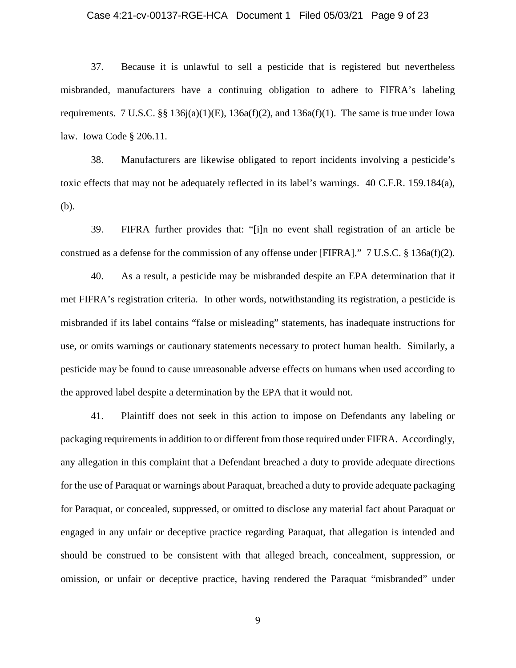### Case 4:21-cv-00137-RGE-HCA Document 1 Filed 05/03/21 Page 9 of 23

37. Because it is unlawful to sell a pesticide that is registered but nevertheless misbranded, manufacturers have a continuing obligation to adhere to FIFRA's labeling requirements. 7 U.S.C. §§ 136 $j(a)(1)(E)$ , 136 $a(f)(2)$ , and 136 $a(f)(1)$ . The same is true under Iowa law. Iowa Code § 206.11.

38. Manufacturers are likewise obligated to report incidents involving a pesticide's toxic effects that may not be adequately reflected in its label's warnings. 40 C.F.R. 159.184(a), (b).

39. FIFRA further provides that: "[i]n no event shall registration of an article be construed as a defense for the commission of any offense under [FIFRA]."  $7 \text{ U.S.C.} \$  136a(f)(2).

40. As a result, a pesticide may be misbranded despite an EPA determination that it met FIFRA's registration criteria. In other words, notwithstanding its registration, a pesticide is misbranded if its label contains "false or misleading" statements, has inadequate instructions for use, or omits warnings or cautionary statements necessary to protect human health. Similarly, a pesticide may be found to cause unreasonable adverse effects on humans when used according to the approved label despite a determination by the EPA that it would not.

41. Plaintiff does not seek in this action to impose on Defendants any labeling or packaging requirements in addition to or different from those required under FIFRA. Accordingly, any allegation in this complaint that a Defendant breached a duty to provide adequate directions for the use of Paraquat or warnings about Paraquat, breached a duty to provide adequate packaging for Paraquat, or concealed, suppressed, or omitted to disclose any material fact about Paraquat or engaged in any unfair or deceptive practice regarding Paraquat, that allegation is intended and should be construed to be consistent with that alleged breach, concealment, suppression, or omission, or unfair or deceptive practice, having rendered the Paraquat "misbranded" under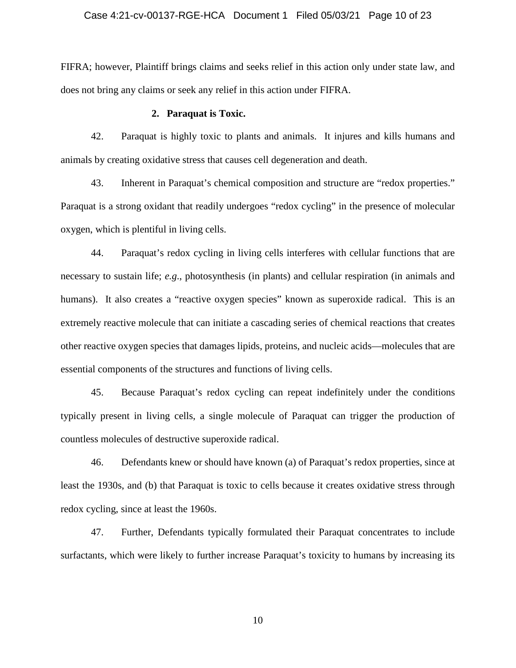# Case 4:21-cv-00137-RGE-HCA Document 1 Filed 05/03/21 Page 10 of 23

FIFRA; however, Plaintiff brings claims and seeks relief in this action only under state law, and does not bring any claims or seek any relief in this action under FIFRA.

# **2. Paraquat is Toxic.**

42. Paraquat is highly toxic to plants and animals. It injures and kills humans and animals by creating oxidative stress that causes cell degeneration and death.

43. Inherent in Paraquat's chemical composition and structure are "redox properties." Paraquat is a strong oxidant that readily undergoes "redox cycling" in the presence of molecular oxygen, which is plentiful in living cells.

44. Paraquat's redox cycling in living cells interferes with cellular functions that are necessary to sustain life; *e.g*., photosynthesis (in plants) and cellular respiration (in animals and humans). It also creates a "reactive oxygen species" known as superoxide radical. This is an extremely reactive molecule that can initiate a cascading series of chemical reactions that creates other reactive oxygen species that damages lipids, proteins, and nucleic acids—molecules that are essential components of the structures and functions of living cells.

45. Because Paraquat's redox cycling can repeat indefinitely under the conditions typically present in living cells, a single molecule of Paraquat can trigger the production of countless molecules of destructive superoxide radical.

46. Defendants knew or should have known (a) of Paraquat's redox properties, since at least the 1930s, and (b) that Paraquat is toxic to cells because it creates oxidative stress through redox cycling, since at least the 1960s.

47. Further, Defendants typically formulated their Paraquat concentrates to include surfactants, which were likely to further increase Paraquat's toxicity to humans by increasing its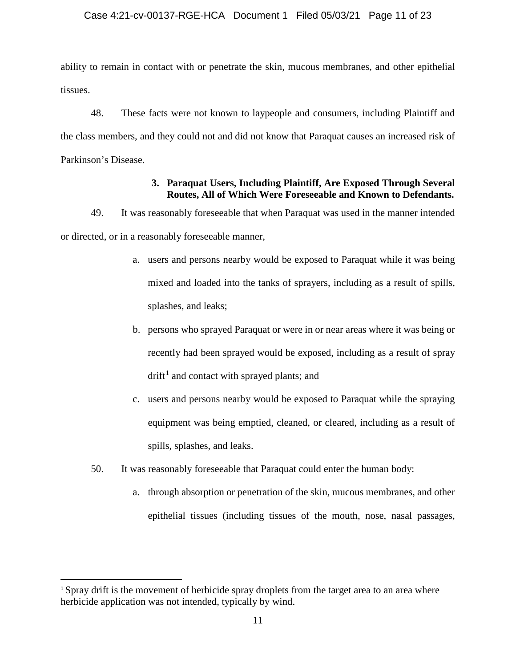# Case 4:21-cv-00137-RGE-HCA Document 1 Filed 05/03/21 Page 11 of 23

ability to remain in contact with or penetrate the skin, mucous membranes, and other epithelial tissues.

48. These facts were not known to laypeople and consumers, including Plaintiff and the class members, and they could not and did not know that Paraquat causes an increased risk of Parkinson's Disease.

# **3. Paraquat Users, Including Plaintiff, Are Exposed Through Several Routes, All of Which Were Foreseeable and Known to Defendants.**

49. It was reasonably foreseeable that when Paraquat was used in the manner intended or directed, or in a reasonably foreseeable manner,

- a. users and persons nearby would be exposed to Paraquat while it was being mixed and loaded into the tanks of sprayers, including as a result of spills, splashes, and leaks;
- b. persons who sprayed Paraquat or were in or near areas where it was being or recently had been sprayed would be exposed, including as a result of spray  $drift<sup>1</sup>$  and contact with sprayed plants; and
- c. users and persons nearby would be exposed to Paraquat while the spraying equipment was being emptied, cleaned, or cleared, including as a result of spills, splashes, and leaks.
- 50. It was reasonably foreseeable that Paraquat could enter the human body:
	- a. through absorption or penetration of the skin, mucous membranes, and other epithelial tissues (including tissues of the mouth, nose, nasal passages,

<sup>&</sup>lt;sup>1</sup> Spray drift is the movement of herbicide spray droplets from the target area to an area where herbicide application was not intended, typically by wind.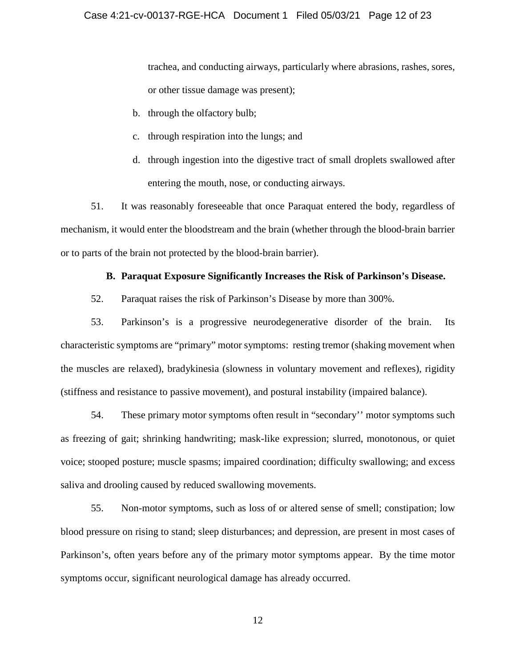trachea, and conducting airways, particularly where abrasions, rashes, sores, or other tissue damage was present);

- b. through the olfactory bulb;
- c. through respiration into the lungs; and
- d. through ingestion into the digestive tract of small droplets swallowed after entering the mouth, nose, or conducting airways.

51. It was reasonably foreseeable that once Paraquat entered the body, regardless of mechanism, it would enter the bloodstream and the brain (whether through the blood-brain barrier or to parts of the brain not protected by the blood-brain barrier).

# **B. Paraquat Exposure Significantly Increases the Risk of Parkinson's Disease.**

52. Paraquat raises the risk of Parkinson's Disease by more than 300%.

53. Parkinson's is a progressive neurodegenerative disorder of the brain. Its characteristic symptoms are "primary" motor symptoms: resting tremor (shaking movement when the muscles are relaxed), bradykinesia (slowness in voluntary movement and reflexes), rigidity (stiffness and resistance to passive movement), and postural instability (impaired balance).

54. These primary motor symptoms often result in "secondary'' motor symptoms such as freezing of gait; shrinking handwriting; mask-like expression; slurred, monotonous, or quiet voice; stooped posture; muscle spasms; impaired coordination; difficulty swallowing; and excess saliva and drooling caused by reduced swallowing movements.

55. Non-motor symptoms, such as loss of or altered sense of smell; constipation; low blood pressure on rising to stand; sleep disturbances; and depression, are present in most cases of Parkinson's, often years before any of the primary motor symptoms appear. By the time motor symptoms occur, significant neurological damage has already occurred.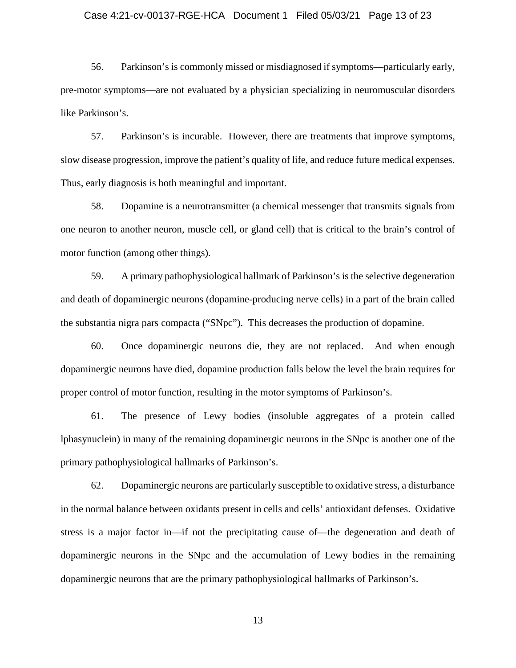### Case 4:21-cv-00137-RGE-HCA Document 1 Filed 05/03/21 Page 13 of 23

56. Parkinson's is commonly missed or misdiagnosed if symptoms—particularly early, pre-motor symptoms—are not evaluated by a physician specializing in neuromuscular disorders like Parkinson's.

57. Parkinson's is incurable. However, there are treatments that improve symptoms, slow disease progression, improve the patient's quality of life, and reduce future medical expenses. Thus, early diagnosis is both meaningful and important.

58. Dopamine is a neurotransmitter (a chemical messenger that transmits signals from one neuron to another neuron, muscle cell, or gland cell) that is critical to the brain's control of motor function (among other things).

59. A primary pathophysiological hallmark of Parkinson's is the selective degeneration and death of dopaminergic neurons (dopamine-producing nerve cells) in a part of the brain called the substantia nigra pars compacta ("SNpc"). This decreases the production of dopamine.

60. Once dopaminergic neurons die, they are not replaced. And when enough dopaminergic neurons have died, dopamine production falls below the level the brain requires for proper control of motor function, resulting in the motor symptoms of Parkinson's.

61. The presence of Lewy bodies (insoluble aggregates of a protein called lphasynuclein) in many of the remaining dopaminergic neurons in the SNpc is another one of the primary pathophysiological hallmarks of Parkinson's.

62. Dopaminergic neurons are particularly susceptible to oxidative stress, a disturbance in the normal balance between oxidants present in cells and cells' antioxidant defenses. Oxidative stress is a major factor in—if not the precipitating cause of—the degeneration and death of dopaminergic neurons in the SNpc and the accumulation of Lewy bodies in the remaining dopaminergic neurons that are the primary pathophysiological hallmarks of Parkinson's.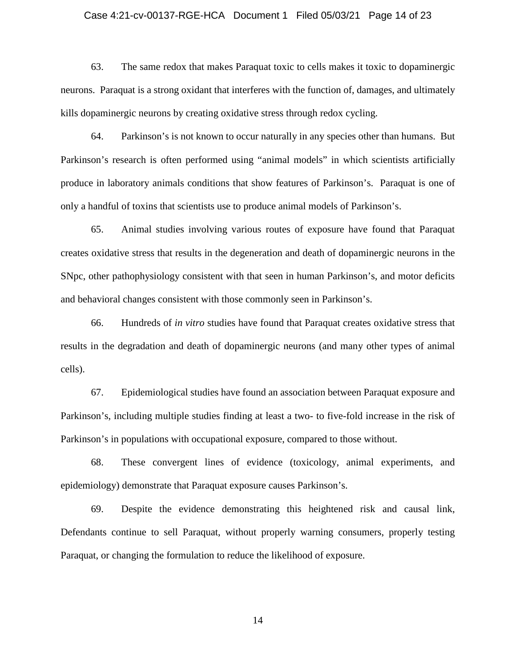# Case 4:21-cv-00137-RGE-HCA Document 1 Filed 05/03/21 Page 14 of 23

63. The same redox that makes Paraquat toxic to cells makes it toxic to dopaminergic neurons. Paraquat is a strong oxidant that interferes with the function of, damages, and ultimately kills dopaminergic neurons by creating oxidative stress through redox cycling.

64. Parkinson's is not known to occur naturally in any species other than humans. But Parkinson's research is often performed using "animal models" in which scientists artificially produce in laboratory animals conditions that show features of Parkinson's. Paraquat is one of only a handful of toxins that scientists use to produce animal models of Parkinson's.

65. Animal studies involving various routes of exposure have found that Paraquat creates oxidative stress that results in the degeneration and death of dopaminergic neurons in the SNpc, other pathophysiology consistent with that seen in human Parkinson's, and motor deficits and behavioral changes consistent with those commonly seen in Parkinson's.

66. Hundreds of *in vitro* studies have found that Paraquat creates oxidative stress that results in the degradation and death of dopaminergic neurons (and many other types of animal cells).

67. Epidemiological studies have found an association between Paraquat exposure and Parkinson's, including multiple studies finding at least a two- to five-fold increase in the risk of Parkinson's in populations with occupational exposure, compared to those without.

68. These convergent lines of evidence (toxicology, animal experiments, and epidemiology) demonstrate that Paraquat exposure causes Parkinson's.

69. Despite the evidence demonstrating this heightened risk and causal link, Defendants continue to sell Paraquat, without properly warning consumers, properly testing Paraquat, or changing the formulation to reduce the likelihood of exposure.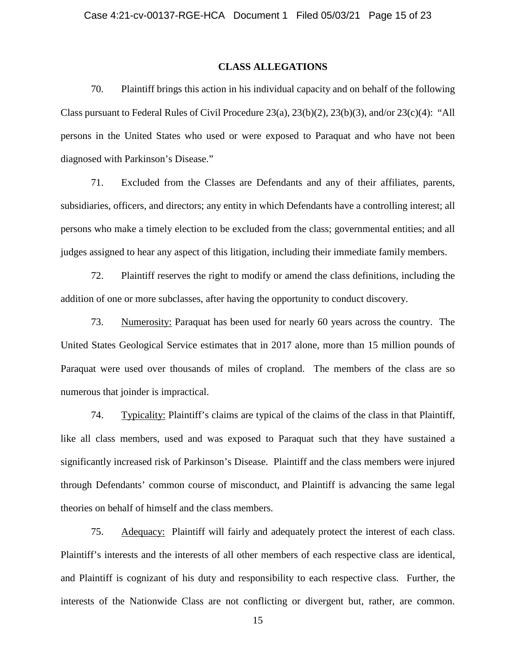### **CLASS ALLEGATIONS**

70. Plaintiff brings this action in his individual capacity and on behalf of the following Class pursuant to Federal Rules of Civil Procedure  $23(a)$ ,  $23(b)(2)$ ,  $23(b)(3)$ , and/or  $23(c)(4)$ : "All persons in the United States who used or were exposed to Paraquat and who have not been diagnosed with Parkinson's Disease."

71. Excluded from the Classes are Defendants and any of their affiliates, parents, subsidiaries, officers, and directors; any entity in which Defendants have a controlling interest; all persons who make a timely election to be excluded from the class; governmental entities; and all judges assigned to hear any aspect of this litigation, including their immediate family members.

72. Plaintiff reserves the right to modify or amend the class definitions, including the addition of one or more subclasses, after having the opportunity to conduct discovery.

73. Numerosity: Paraquat has been used for nearly 60 years across the country. The United States Geological Service estimates that in 2017 alone, more than 15 million pounds of Paraquat were used over thousands of miles of cropland. The members of the class are so numerous that joinder is impractical.

74. Typicality: Plaintiff's claims are typical of the claims of the class in that Plaintiff, like all class members, used and was exposed to Paraquat such that they have sustained a significantly increased risk of Parkinson's Disease. Plaintiff and the class members were injured through Defendants' common course of misconduct, and Plaintiff is advancing the same legal theories on behalf of himself and the class members.

75. Adequacy: Plaintiff will fairly and adequately protect the interest of each class. Plaintiff's interests and the interests of all other members of each respective class are identical, and Plaintiff is cognizant of his duty and responsibility to each respective class. Further, the interests of the Nationwide Class are not conflicting or divergent but, rather, are common.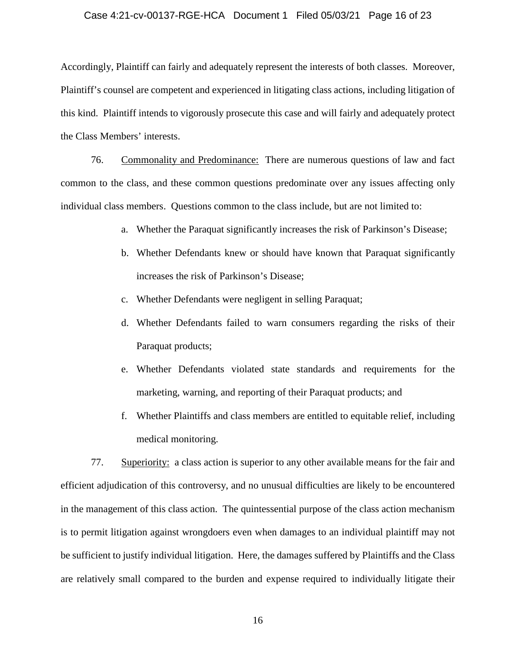# Case 4:21-cv-00137-RGE-HCA Document 1 Filed 05/03/21 Page 16 of 23

Accordingly, Plaintiff can fairly and adequately represent the interests of both classes. Moreover, Plaintiff's counsel are competent and experienced in litigating class actions, including litigation of this kind. Plaintiff intends to vigorously prosecute this case and will fairly and adequately protect the Class Members' interests.

76. Commonality and Predominance: There are numerous questions of law and fact common to the class, and these common questions predominate over any issues affecting only individual class members. Questions common to the class include, but are not limited to:

- a. Whether the Paraquat significantly increases the risk of Parkinson's Disease;
- b. Whether Defendants knew or should have known that Paraquat significantly increases the risk of Parkinson's Disease;
- c. Whether Defendants were negligent in selling Paraquat;
- d. Whether Defendants failed to warn consumers regarding the risks of their Paraquat products;
- e. Whether Defendants violated state standards and requirements for the marketing, warning, and reporting of their Paraquat products; and
- f. Whether Plaintiffs and class members are entitled to equitable relief, including medical monitoring.

77. Superiority: a class action is superior to any other available means for the fair and efficient adjudication of this controversy, and no unusual difficulties are likely to be encountered in the management of this class action. The quintessential purpose of the class action mechanism is to permit litigation against wrongdoers even when damages to an individual plaintiff may not be sufficient to justify individual litigation. Here, the damages suffered by Plaintiffs and the Class are relatively small compared to the burden and expense required to individually litigate their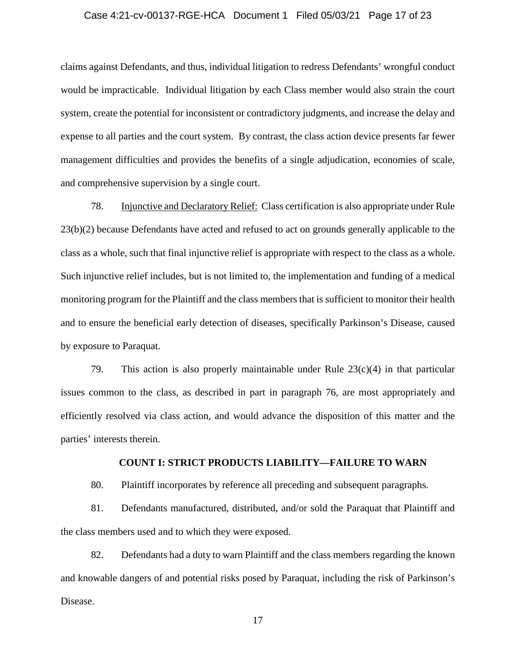# Case 4:21-cv-00137-RGE-HCA Document 1 Filed 05/03/21 Page 17 of 23

claims against Defendants, and thus, individual litigation to redress Defendants' wrongful conduct would be impracticable. Individual litigation by each Class member would also strain the court system, create the potential for inconsistent or contradictory judgments, and increase the delay and expense to all parties and the court system. By contrast, the class action device presents far fewer management difficulties and provides the benefits of a single adjudication, economies of scale, and comprehensive supervision by a single court.

78. Injunctive and Declaratory Relief: Class certification is also appropriate under Rule 23(b)(2) because Defendants have acted and refused to act on grounds generally applicable to the class as a whole, such that final injunctive relief is appropriate with respect to the class as a whole. Such injunctive relief includes, but is not limited to, the implementation and funding of a medical monitoring program for the Plaintiff and the class members that is sufficient to monitor their health and to ensure the beneficial early detection of diseases, specifically Parkinson's Disease, caused by exposure to Paraquat.

79. This action is also properly maintainable under Rule  $23(c)(4)$  in that particular issues common to the class, as described in part in paragraph 76, are most appropriately and efficiently resolved via class action, and would advance the disposition of this matter and the parties' interests therein.

# **COUNT I: STRICT PRODUCTS LIABILITY—FAILURE TO WARN**

80. Plaintiff incorporates by reference all preceding and subsequent paragraphs.

81. Defendants manufactured, distributed, and/or sold the Paraquat that Plaintiff and the class members used and to which they were exposed.

82. Defendants had a duty to warn Plaintiff and the class members regarding the known and knowable dangers of and potential risks posed by Paraquat, including the risk of Parkinson's Disease.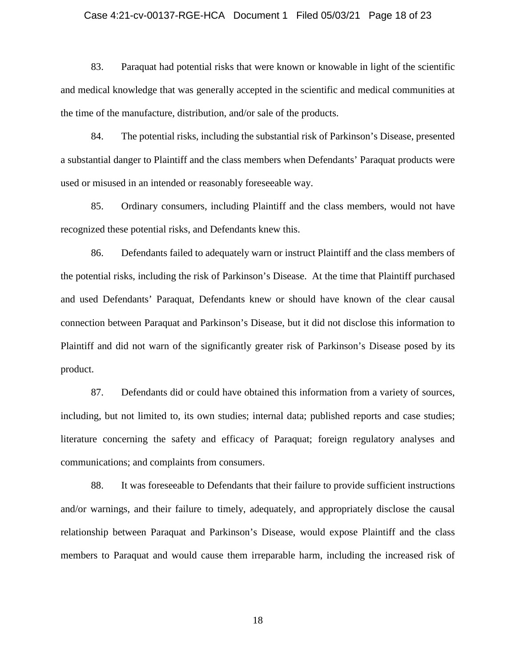# Case 4:21-cv-00137-RGE-HCA Document 1 Filed 05/03/21 Page 18 of 23

83. Paraquat had potential risks that were known or knowable in light of the scientific and medical knowledge that was generally accepted in the scientific and medical communities at the time of the manufacture, distribution, and/or sale of the products.

84. The potential risks, including the substantial risk of Parkinson's Disease, presented a substantial danger to Plaintiff and the class members when Defendants' Paraquat products were used or misused in an intended or reasonably foreseeable way.

85. Ordinary consumers, including Plaintiff and the class members, would not have recognized these potential risks, and Defendants knew this.

86. Defendants failed to adequately warn or instruct Plaintiff and the class members of the potential risks, including the risk of Parkinson's Disease. At the time that Plaintiff purchased and used Defendants' Paraquat, Defendants knew or should have known of the clear causal connection between Paraquat and Parkinson's Disease, but it did not disclose this information to Plaintiff and did not warn of the significantly greater risk of Parkinson's Disease posed by its product.

87. Defendants did or could have obtained this information from a variety of sources, including, but not limited to, its own studies; internal data; published reports and case studies; literature concerning the safety and efficacy of Paraquat; foreign regulatory analyses and communications; and complaints from consumers.

88. It was foreseeable to Defendants that their failure to provide sufficient instructions and/or warnings, and their failure to timely, adequately, and appropriately disclose the causal relationship between Paraquat and Parkinson's Disease, would expose Plaintiff and the class members to Paraquat and would cause them irreparable harm, including the increased risk of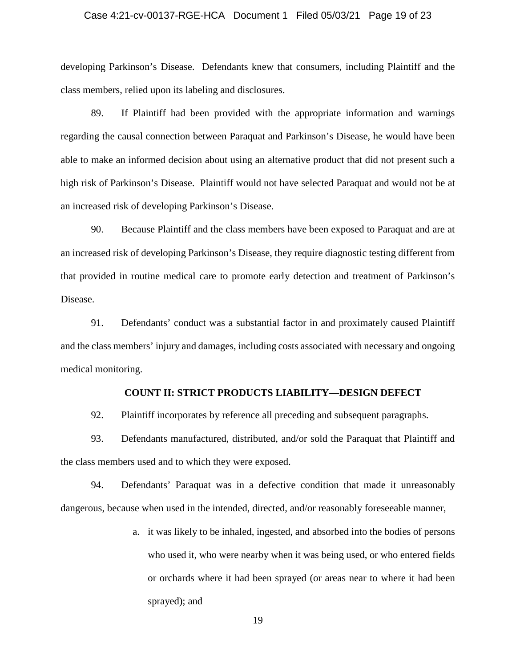# Case 4:21-cv-00137-RGE-HCA Document 1 Filed 05/03/21 Page 19 of 23

developing Parkinson's Disease. Defendants knew that consumers, including Plaintiff and the class members, relied upon its labeling and disclosures.

89. If Plaintiff had been provided with the appropriate information and warnings regarding the causal connection between Paraquat and Parkinson's Disease, he would have been able to make an informed decision about using an alternative product that did not present such a high risk of Parkinson's Disease. Plaintiff would not have selected Paraquat and would not be at an increased risk of developing Parkinson's Disease.

90. Because Plaintiff and the class members have been exposed to Paraquat and are at an increased risk of developing Parkinson's Disease, they require diagnostic testing different from that provided in routine medical care to promote early detection and treatment of Parkinson's Disease.

91. Defendants' conduct was a substantial factor in and proximately caused Plaintiff and the class members' injury and damages, including costs associated with necessary and ongoing medical monitoring.

# **COUNT II: STRICT PRODUCTS LIABILITY—DESIGN DEFECT**

92. Plaintiff incorporates by reference all preceding and subsequent paragraphs.

93. Defendants manufactured, distributed, and/or sold the Paraquat that Plaintiff and the class members used and to which they were exposed.

94. Defendants' Paraquat was in a defective condition that made it unreasonably dangerous, because when used in the intended, directed, and/or reasonably foreseeable manner,

> a. it was likely to be inhaled, ingested, and absorbed into the bodies of persons who used it, who were nearby when it was being used, or who entered fields or orchards where it had been sprayed (or areas near to where it had been sprayed); and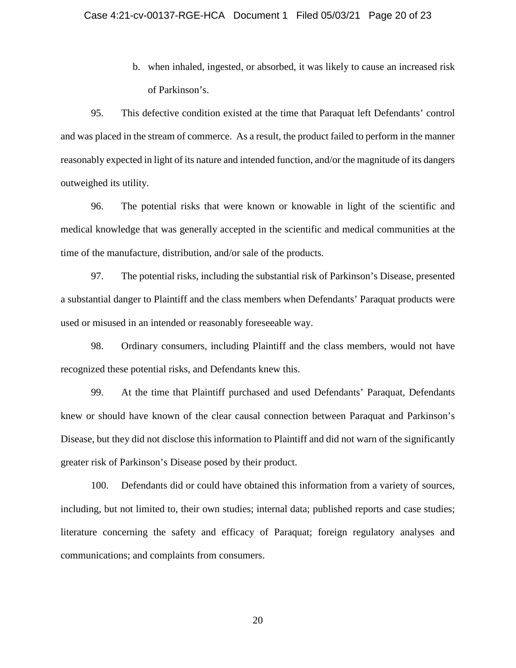b. when inhaled, ingested, or absorbed, it was likely to cause an increased risk of Parkinson's.

95. This defective condition existed at the time that Paraquat left Defendants' control and was placed in the stream of commerce. As a result, the product failed to perform in the manner reasonably expected in light of its nature and intended function, and/or the magnitude of its dangers outweighed its utility.

96. The potential risks that were known or knowable in light of the scientific and medical knowledge that was generally accepted in the scientific and medical communities at the time of the manufacture, distribution, and/or sale of the products.

97. The potential risks, including the substantial risk of Parkinson's Disease, presented a substantial danger to Plaintiff and the class members when Defendants' Paraquat products were used or misused in an intended or reasonably foreseeable way.

98. Ordinary consumers, including Plaintiff and the class members, would not have recognized these potential risks, and Defendants knew this.

99. At the time that Plaintiff purchased and used Defendants' Paraquat, Defendants knew or should have known of the clear causal connection between Paraquat and Parkinson's Disease, but they did not disclose this information to Plaintiff and did not warn of the significantly greater risk of Parkinson's Disease posed by their product.

100. Defendants did or could have obtained this information from a variety of sources, including, but not limited to, their own studies; internal data; published reports and case studies; literature concerning the safety and efficacy of Paraquat; foreign regulatory analyses and communications; and complaints from consumers.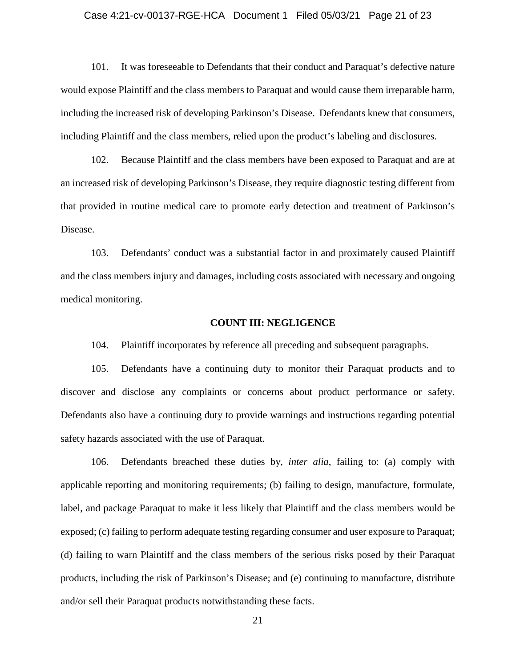# Case 4:21-cv-00137-RGE-HCA Document 1 Filed 05/03/21 Page 21 of 23

101. It was foreseeable to Defendants that their conduct and Paraquat's defective nature would expose Plaintiff and the class members to Paraquat and would cause them irreparable harm, including the increased risk of developing Parkinson's Disease. Defendants knew that consumers, including Plaintiff and the class members, relied upon the product's labeling and disclosures.

102. Because Plaintiff and the class members have been exposed to Paraquat and are at an increased risk of developing Parkinson's Disease, they require diagnostic testing different from that provided in routine medical care to promote early detection and treatment of Parkinson's Disease.

103. Defendants' conduct was a substantial factor in and proximately caused Plaintiff and the class members injury and damages, including costs associated with necessary and ongoing medical monitoring.

### **COUNT III: NEGLIGENCE**

104. Plaintiff incorporates by reference all preceding and subsequent paragraphs.

105. Defendants have a continuing duty to monitor their Paraquat products and to discover and disclose any complaints or concerns about product performance or safety. Defendants also have a continuing duty to provide warnings and instructions regarding potential safety hazards associated with the use of Paraquat.

106. Defendants breached these duties by, *inter alia*, failing to: (a) comply with applicable reporting and monitoring requirements; (b) failing to design, manufacture, formulate, label, and package Paraquat to make it less likely that Plaintiff and the class members would be exposed; (c) failing to perform adequate testing regarding consumer and user exposure to Paraquat; (d) failing to warn Plaintiff and the class members of the serious risks posed by their Paraquat products, including the risk of Parkinson's Disease; and (e) continuing to manufacture, distribute and/or sell their Paraquat products notwithstanding these facts.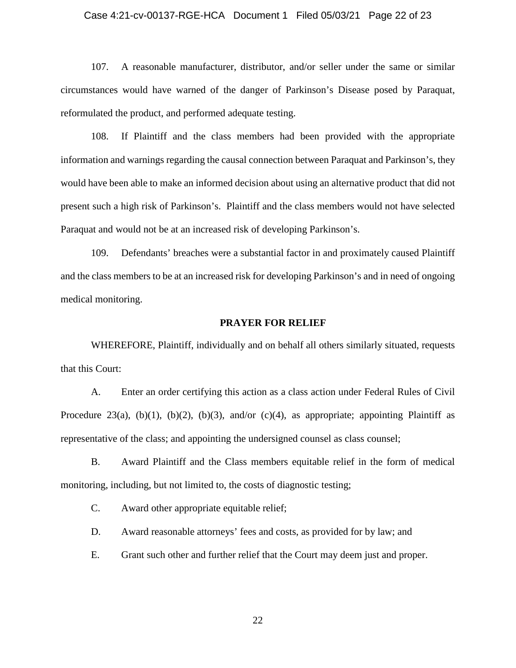# Case 4:21-cv-00137-RGE-HCA Document 1 Filed 05/03/21 Page 22 of 23

107. A reasonable manufacturer, distributor, and/or seller under the same or similar circumstances would have warned of the danger of Parkinson's Disease posed by Paraquat, reformulated the product, and performed adequate testing.

108. If Plaintiff and the class members had been provided with the appropriate information and warnings regarding the causal connection between Paraquat and Parkinson's, they would have been able to make an informed decision about using an alternative product that did not present such a high risk of Parkinson's. Plaintiff and the class members would not have selected Paraquat and would not be at an increased risk of developing Parkinson's.

109. Defendants' breaches were a substantial factor in and proximately caused Plaintiff and the class members to be at an increased risk for developing Parkinson's and in need of ongoing medical monitoring.

# **PRAYER FOR RELIEF**

WHEREFORE, Plaintiff, individually and on behalf all others similarly situated, requests that this Court:

A. Enter an order certifying this action as a class action under Federal Rules of Civil Procedure 23(a), (b)(1), (b)(2), (b)(3), and/or (c)(4), as appropriate; appointing Plaintiff as representative of the class; and appointing the undersigned counsel as class counsel;

B. Award Plaintiff and the Class members equitable relief in the form of medical monitoring, including, but not limited to, the costs of diagnostic testing;

C. Award other appropriate equitable relief;

D. Award reasonable attorneys' fees and costs, as provided for by law; and

E. Grant such other and further relief that the Court may deem just and proper.